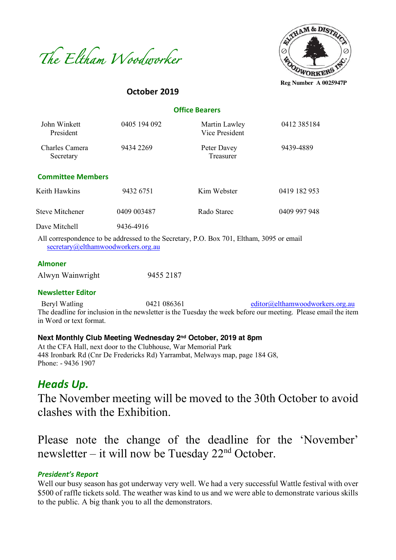



**October 2019**

 **Office Bearers**

| John Winkett<br>President   | 0405 194 092 | Martin Lawley<br>Vice President                                                                   | 0412 385184  |
|-----------------------------|--------------|---------------------------------------------------------------------------------------------------|--------------|
| Charles Camera<br>Secretary | 9434 2269    | Peter Davey<br>Treasurer                                                                          | 9439-4889    |
| <b>Committee Members</b>    |              |                                                                                                   |              |
| Keith Hawkins               | 9432 6751    | Kim Webster                                                                                       | 0419 182 953 |
| <b>Steve Mitchener</b>      | 0409 003487  | Rado Starec                                                                                       | 0409 997 948 |
| Dave Mitchell               | 9436-4916    |                                                                                                   |              |
|                             |              | All correspondence to be addressed to the Corretory $D \cap D_{2}$ $T_{01}$ Elthern 2005 or email |              |

All correspondence to be addressed to the Secretary, P.O. Box 701, Eltham, 3095 or email secretary@elthamwoodworkers.org.au

#### **Almoner**

| Alwyn Wainwright | 9455 2187 |
|------------------|-----------|
|                  |           |

#### **Newsletter Editor**

Beryl Watling  $0421\,086361$  editor@elthamwoodworkers.org.au The deadline for inclusion in the newsletter is the Tuesday the week before our meeting. Please email the item in Word or text format.

#### **Next Monthly Club Meeting Wednesday 2nd October, 2019 at 8pm**

At the CFA Hall, next door to the Clubhouse, War Memorial Park 448 Ironbark Rd (Cnr De Fredericks Rd) Yarrambat, Melways map, page 184 G8, Phone: - 9436 1907

# *Heads Up.*

The November meeting will be moved to the 30th October to avoid clashes with the Exhibition.

Please note the change of the deadline for the 'November' newsletter – it will now be Tuesday  $22<sup>nd</sup>$  October.

#### *President's Report*

Well our busy season has got underway very well. We had a very successful Wattle festival with over \$500 of raffle tickets sold. The weather was kind to us and we were able to demonstrate various skills to the public. A big thank you to all the demonstrators.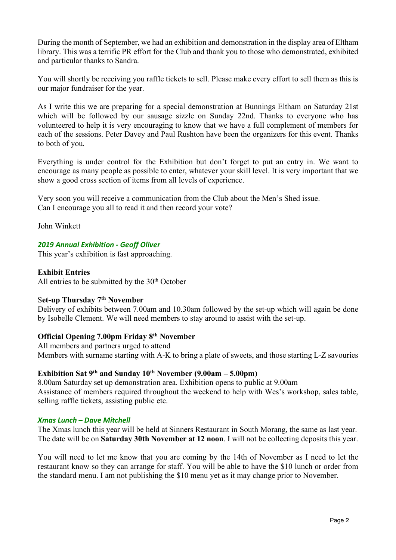During the month of September, we had an exhibition and demonstration in the display area of Eltham library. This was a terrific PR effort for the Club and thank you to those who demonstrated, exhibited and particular thanks to Sandra.

You will shortly be receiving you raffle tickets to sell. Please make every effort to sell them as this is our major fundraiser for the year.

As I write this we are preparing for a special demonstration at Bunnings Eltham on Saturday 21st which will be followed by our sausage sizzle on Sunday 22nd. Thanks to everyone who has volunteered to help it is very encouraging to know that we have a full complement of members for each of the sessions. Peter Davey and Paul Rushton have been the organizers for this event. Thanks to both of you.

Everything is under control for the Exhibition but don't forget to put an entry in. We want to encourage as many people as possible to enter, whatever your skill level. It is very important that we show a good cross section of items from all levels of experience.

Very soon you will receive a communication from the Club about the Men's Shed issue. Can I encourage you all to read it and then record your vote?

John Winkett

# *2019 Annual Exhibition - Geoff Oliver*

This year's exhibition is fast approaching.

#### **Exhibit Entries**

All entries to be submitted by the  $30<sup>th</sup>$  October

## S**et-up Thursday 7th November**

Delivery of exhibits between 7.00am and 10.30am followed by the set-up which will again be done by Isobelle Clement. We will need members to stay around to assist with the set-up.

## **Official Opening 7.00pm Friday 8th November**

All members and partners urged to attend Members with surname starting with A-K to bring a plate of sweets, and those starting L-Z savouries

## **Exhibition Sat 9th and Sunday 10th November (9.00am – 5.00pm)**

8.00am Saturday set up demonstration area. Exhibition opens to public at 9.00am Assistance of members required throughout the weekend to help with Wes's workshop, sales table, selling raffle tickets, assisting public etc.

#### *Xmas Lunch – Dave Mitchell*

The Xmas lunch this year will be held at Sinners Restaurant in South Morang, the same as last year. The date will be on **Saturday 30th November at 12 noon**. I will not be collecting deposits this year.

You will need to let me know that you are coming by the 14th of November as I need to let the restaurant know so they can arrange for staff. You will be able to have the \$10 lunch or order from the standard menu. I am not publishing the \$10 menu yet as it may change prior to November.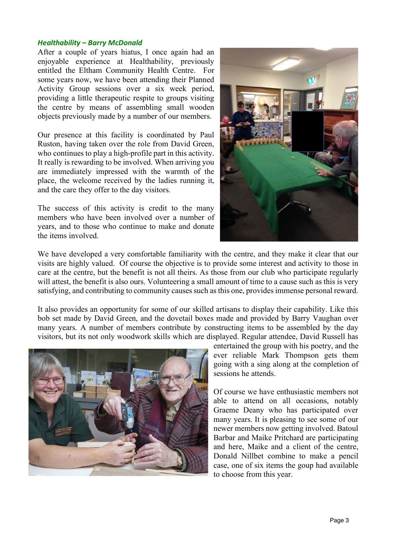#### *Healthability – Barry McDonald*

After a couple of years hiatus, I once again had an enjoyable experience at Healthability, previously entitled the Eltham Community Health Centre. For some years now, we have been attending their Planned Activity Group sessions over a six week period, providing a little therapeutic respite to groups visiting the centre by means of assembling small wooden objects previously made by a number of our members.

Our presence at this facility is coordinated by Paul Ruston, having taken over the role from David Green, who continues to play a high-profile part in this activity. It really is rewarding to be involved. When arriving you are immediately impressed with the warmth of the place, the welcome received by the ladies running it, and the care they offer to the day visitors.

The success of this activity is credit to the many members who have been involved over a number of years, and to those who continue to make and donate the items involved.



We have developed a very comfortable familiarity with the centre, and they make it clear that our visits are highly valued. Of course the objective is to provide some interest and activity to those in care at the centre, but the benefit is not all theirs. As those from our club who participate regularly will attest, the benefit is also ours. Volunteering a small amount of time to a cause such as this is very satisfying, and contributing to community causes such as this one, provides immense personal reward.

It also provides an opportunity for some of our skilled artisans to display their capability. Like this bob set made by David Green, and the dovetail boxes made and provided by Barry Vaughan over many years. A number of members contribute by constructing items to be assembled by the day visitors, but its not only woodwork skills which are displayed. Regular attendee, David Russell has



entertained the group with his poetry, and the ever reliable Mark Thompson gets them going with a sing along at the completion of sessions he attends.

Of course we have enthusiastic members not able to attend on all occasions, notably Graeme Deany who has participated over many years. It is pleasing to see some of our newer members now getting involved. Batoul Barbar and Maike Pritchard are participating and here, Maike and a client of the centre, Donald Nillbet combine to make a pencil case, one of six items the goup had available to choose from this year.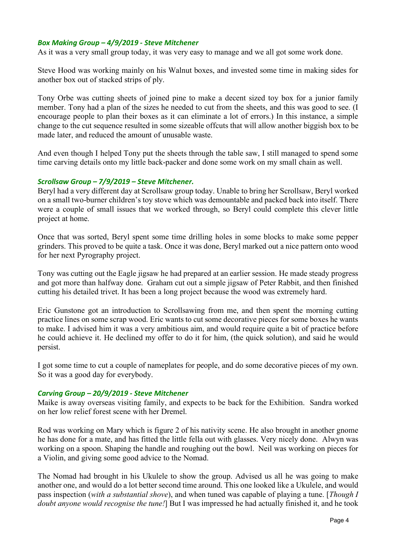## *Box Making Group – 4/9/2019 - Steve Mitchener*

As it was a very small group today, it was very easy to manage and we all got some work done.

Steve Hood was working mainly on his Walnut boxes, and invested some time in making sides for another box out of stacked strips of ply.

Tony Orbe was cutting sheets of joined pine to make a decent sized toy box for a junior family member. Tony had a plan of the sizes he needed to cut from the sheets, and this was good to see. (I encourage people to plan their boxes as it can eliminate a lot of errors.) In this instance, a simple change to the cut sequence resulted in some sizeable offcuts that will allow another biggish box to be made later, and reduced the amount of unusable waste.

And even though I helped Tony put the sheets through the table saw, I still managed to spend some time carving details onto my little back-packer and done some work on my small chain as well.

#### *Scrollsaw Group – 7/9/2019 – Steve Mitchener.*

Beryl had a very different day at Scrollsaw group today. Unable to bring her Scrollsaw, Beryl worked on a small two-burner children's toy stove which was demountable and packed back into itself. There were a couple of small issues that we worked through, so Beryl could complete this clever little project at home.

Once that was sorted, Beryl spent some time drilling holes in some blocks to make some pepper grinders. This proved to be quite a task. Once it was done, Beryl marked out a nice pattern onto wood for her next Pyrography project.

Tony was cutting out the Eagle jigsaw he had prepared at an earlier session. He made steady progress and got more than halfway done. Graham cut out a simple jigsaw of Peter Rabbit, and then finished cutting his detailed trivet. It has been a long project because the wood was extremely hard.

Eric Gunstone got an introduction to Scrollsawing from me, and then spent the morning cutting practice lines on some scrap wood. Eric wants to cut some decorative pieces for some boxes he wants to make. I advised him it was a very ambitious aim, and would require quite a bit of practice before he could achieve it. He declined my offer to do it for him, (the quick solution), and said he would persist.

I got some time to cut a couple of nameplates for people, and do some decorative pieces of my own. So it was a good day for everybody.

#### *Carving Group – 20/9/2019 - Steve Mitchener*

Maike is away overseas visiting family, and expects to be back for the Exhibition. Sandra worked on her low relief forest scene with her Dremel.

Rod was working on Mary which is figure 2 of his nativity scene. He also brought in another gnome he has done for a mate, and has fitted the little fella out with glasses. Very nicely done. Alwyn was working on a spoon. Shaping the handle and roughing out the bowl. Neil was working on pieces for a Violin, and giving some good advice to the Nomad.

The Nomad had brought in his Ukulele to show the group. Advised us all he was going to make another one, and would do a lot better second time around. This one looked like a Ukulele, and would pass inspection (*with a substantial shove*), and when tuned was capable of playing a tune. [*Though I doubt anyone would recognise the tune!*] But I was impressed he had actually finished it, and he took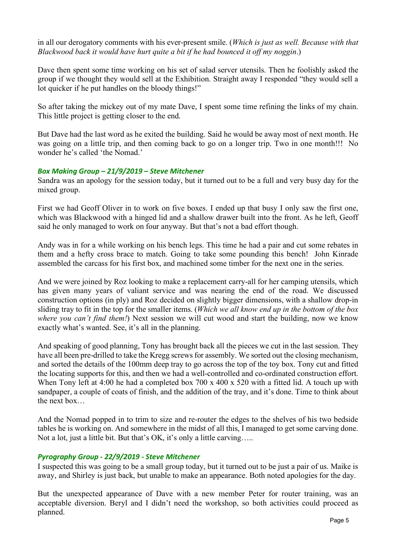in all our derogatory comments with his ever-present smile. (*Which is just as well. Because with that Blackwood back it would have hurt quite a bit if he had bounced it off my noggin*.)

Dave then spent some time working on his set of salad server utensils. Then he foolishly asked the group if we thought they would sell at the Exhibition. Straight away I responded "they would sell a lot quicker if he put handles on the bloody things!"

So after taking the mickey out of my mate Dave, I spent some time refining the links of my chain. This little project is getting closer to the end.

But Dave had the last word as he exited the building. Said he would be away most of next month. He was going on a little trip, and then coming back to go on a longer trip. Two in one month!!! No wonder he's called 'the Nomad.'

# *Box Making Group – 21/9/2019 – Steve Mitchener*

Sandra was an apology for the session today, but it turned out to be a full and very busy day for the mixed group.

First we had Geoff Oliver in to work on five boxes. I ended up that busy I only saw the first one, which was Blackwood with a hinged lid and a shallow drawer built into the front. As he left, Geoff said he only managed to work on four anyway. But that's not a bad effort though.

Andy was in for a while working on his bench legs. This time he had a pair and cut some rebates in them and a hefty cross brace to match. Going to take some pounding this bench! John Kinrade assembled the carcass for his first box, and machined some timber for the next one in the series.

And we were joined by Roz looking to make a replacement carry-all for her camping utensils, which has given many years of valiant service and was nearing the end of the road. We discussed construction options (in ply) and Roz decided on slightly bigger dimensions, with a shallow drop-in sliding tray to fit in the top for the smaller items. (*Which we all know end up in the bottom of the box where you can't find them!*) Next session we will cut wood and start the building, now we know exactly what's wanted. See, it's all in the planning.

And speaking of good planning, Tony has brought back all the pieces we cut in the last session. They have all been pre-drilled to take the Kregg screws for assembly. We sorted out the closing mechanism, and sorted the details of the 100mm deep tray to go across the top of the toy box. Tony cut and fitted the locating supports for this, and then we had a well-controlled and co-ordinated construction effort. When Tony left at 4:00 he had a completed box 700 x 400 x 520 with a fitted lid. A touch up with sandpaper, a couple of coats of finish, and the addition of the tray, and it's done. Time to think about the next box…

And the Nomad popped in to trim to size and re-router the edges to the shelves of his two bedside tables he is working on. And somewhere in the midst of all this, I managed to get some carving done. Not a lot, just a little bit. But that's OK, it's only a little carving.....

# *Pyrography Group - 22/9/2019 - Steve Mitchener*

I suspected this was going to be a small group today, but it turned out to be just a pair of us. Maike is away, and Shirley is just back, but unable to make an appearance. Both noted apologies for the day.

But the unexpected appearance of Dave with a new member Peter for router training, was an acceptable diversion. Beryl and I didn't need the workshop, so both activities could proceed as planned.